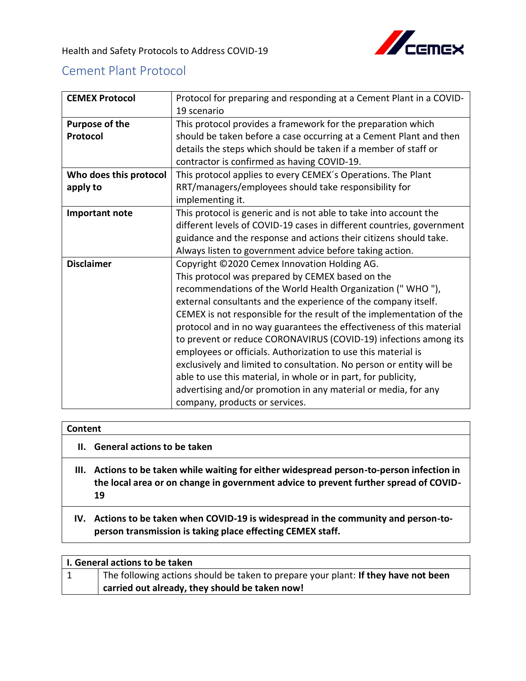

## Cement Plant Protocol

| <b>CEMEX Protocol</b>  | Protocol for preparing and responding at a Cement Plant in a COVID-   |
|------------------------|-----------------------------------------------------------------------|
|                        | 19 scenario                                                           |
| Purpose of the         | This protocol provides a framework for the preparation which          |
| Protocol               | should be taken before a case occurring at a Cement Plant and then    |
|                        | details the steps which should be taken if a member of staff or       |
|                        | contractor is confirmed as having COVID-19.                           |
| Who does this protocol | This protocol applies to every CEMEX's Operations. The Plant          |
| apply to               | RRT/managers/employees should take responsibility for                 |
|                        | implementing it.                                                      |
| Important note         | This protocol is generic and is not able to take into account the     |
|                        | different levels of COVID-19 cases in different countries, government |
|                        | guidance and the response and actions their citizens should take.     |
|                        | Always listen to government advice before taking action.              |
| <b>Disclaimer</b>      | Copyright ©2020 Cemex Innovation Holding AG.                          |
|                        | This protocol was prepared by CEMEX based on the                      |
|                        | recommendations of the World Health Organization ("WHO"),             |
|                        | external consultants and the experience of the company itself.        |
|                        | CEMEX is not responsible for the result of the implementation of the  |
|                        | protocol and in no way guarantees the effectiveness of this material  |
|                        | to prevent or reduce CORONAVIRUS (COVID-19) infections among its      |
|                        | employees or officials. Authorization to use this material is         |
|                        | exclusively and limited to consultation. No person or entity will be  |
|                        | able to use this material, in whole or in part, for publicity,        |
|                        | advertising and/or promotion in any material or media, for any        |
|                        | company, products or services.                                        |

## **Content**

- **II. General actions to be taken**
- **III. Actions to be taken while waiting for either widespread person-to-person infection in the local area or on change in government advice to prevent further spread of COVID-19**
- **IV. Actions to be taken when COVID-19 is widespread in the community and person-toperson transmission is taking place effecting CEMEX staff.**

| L. General actions to be taken |                                                                                    |
|--------------------------------|------------------------------------------------------------------------------------|
|                                | The following actions should be taken to prepare your plant: If they have not been |
|                                | carried out already, they should be taken now!                                     |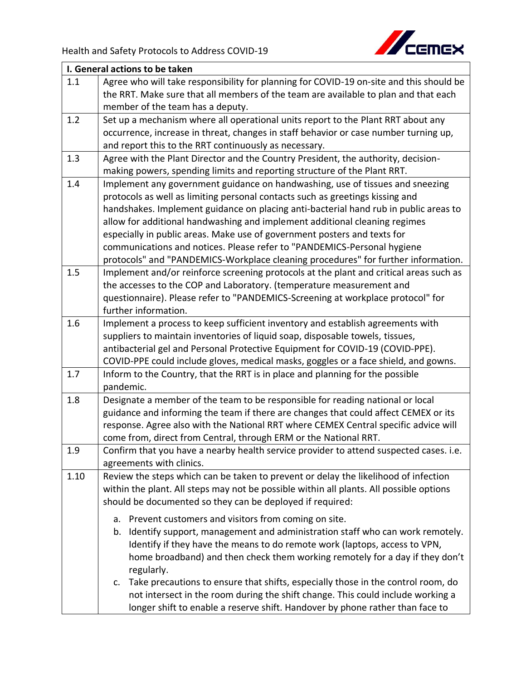

|      | I. General actions to be taken                                                          |  |
|------|-----------------------------------------------------------------------------------------|--|
| 1.1  | Agree who will take responsibility for planning for COVID-19 on-site and this should be |  |
|      | the RRT. Make sure that all members of the team are available to plan and that each     |  |
|      | member of the team has a deputy.                                                        |  |
| 1.2  | Set up a mechanism where all operational units report to the Plant RRT about any        |  |
|      | occurrence, increase in threat, changes in staff behavior or case number turning up,    |  |
|      | and report this to the RRT continuously as necessary.                                   |  |
| 1.3  | Agree with the Plant Director and the Country President, the authority, decision-       |  |
|      | making powers, spending limits and reporting structure of the Plant RRT.                |  |
| 1.4  | Implement any government guidance on handwashing, use of tissues and sneezing           |  |
|      | protocols as well as limiting personal contacts such as greetings kissing and           |  |
|      | handshakes. Implement guidance on placing anti-bacterial hand rub in public areas to    |  |
|      | allow for additional handwashing and implement additional cleaning regimes              |  |
|      | especially in public areas. Make use of government posters and texts for                |  |
|      | communications and notices. Please refer to "PANDEMICS-Personal hygiene                 |  |
|      | protocols" and "PANDEMICS-Workplace cleaning procedures" for further information.       |  |
| 1.5  | Implement and/or reinforce screening protocols at the plant and critical areas such as  |  |
|      | the accesses to the COP and Laboratory. (temperature measurement and                    |  |
|      | questionnaire). Please refer to "PANDEMICS-Screening at workplace protocol" for         |  |
|      | further information.                                                                    |  |
| 1.6  | Implement a process to keep sufficient inventory and establish agreements with          |  |
|      | suppliers to maintain inventories of liquid soap, disposable towels, tissues,           |  |
|      | antibacterial gel and Personal Protective Equipment for COVID-19 (COVID-PPE).           |  |
|      | COVID-PPE could include gloves, medical masks, goggles or a face shield, and gowns.     |  |
| 1.7  | Inform to the Country, that the RRT is in place and planning for the possible           |  |
|      | pandemic.                                                                               |  |
| 1.8  | Designate a member of the team to be responsible for reading national or local          |  |
|      | guidance and informing the team if there are changes that could affect CEMEX or its     |  |
|      | response. Agree also with the National RRT where CEMEX Central specific advice will     |  |
|      | come from, direct from Central, through ERM or the National RRT.                        |  |
| 1.9  | Confirm that you have a nearby health service provider to attend suspected cases. i.e.  |  |
|      | agreements with clinics.                                                                |  |
| 1.10 | Review the steps which can be taken to prevent or delay the likelihood of infection     |  |
|      | within the plant. All steps may not be possible within all plants. All possible options |  |
|      | should be documented so they can be deployed if required:                               |  |
|      | Prevent customers and visitors from coming on site.<br>а.                               |  |
|      | Identify support, management and administration staff who can work remotely.<br>b.      |  |
|      | Identify if they have the means to do remote work (laptops, access to VPN,              |  |
|      | home broadband) and then check them working remotely for a day if they don't            |  |
|      | regularly.                                                                              |  |
|      | Take precautions to ensure that shifts, especially those in the control room, do<br>c.  |  |
|      | not intersect in the room during the shift change. This could include working a         |  |
|      | longer shift to enable a reserve shift. Handover by phone rather than face to           |  |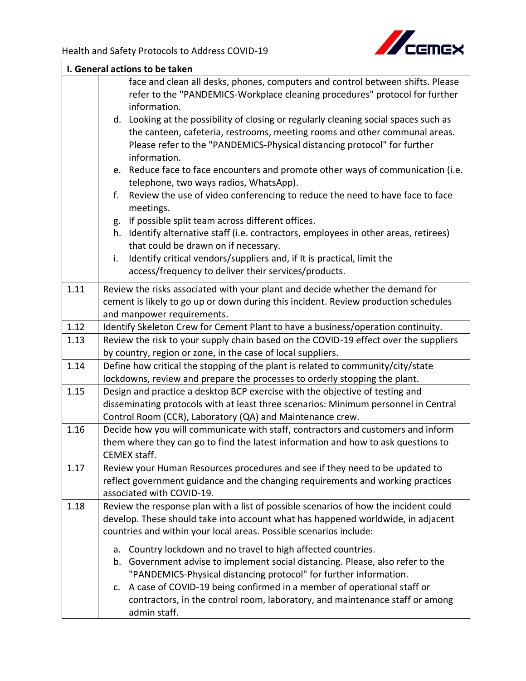

|      | I. General actions to be taken                                                                                                                                                                                                                                                                                                                                                                          |  |  |
|------|---------------------------------------------------------------------------------------------------------------------------------------------------------------------------------------------------------------------------------------------------------------------------------------------------------------------------------------------------------------------------------------------------------|--|--|
|      | face and clean all desks, phones, computers and control between shifts. Please<br>refer to the "PANDEMICS-Workplace cleaning procedures" protocol for further<br>information.                                                                                                                                                                                                                           |  |  |
|      | d. Looking at the possibility of closing or regularly cleaning social spaces such as<br>the canteen, cafeteria, restrooms, meeting rooms and other communal areas.<br>Please refer to the "PANDEMICS-Physical distancing protocol" for further<br>information.                                                                                                                                          |  |  |
|      | e. Reduce face to face encounters and promote other ways of communication (i.e.<br>telephone, two ways radios, WhatsApp).<br>Review the use of video conferencing to reduce the need to have face to face<br>f.                                                                                                                                                                                         |  |  |
|      | meetings.<br>If possible split team across different offices.<br>g.<br>Identify alternative staff (i.e. contractors, employees in other areas, retirees)<br>h.<br>that could be drawn on if necessary.                                                                                                                                                                                                  |  |  |
|      | Identify critical vendors/suppliers and, if It is practical, limit the<br>i.<br>access/frequency to deliver their services/products.                                                                                                                                                                                                                                                                    |  |  |
| 1.11 | Review the risks associated with your plant and decide whether the demand for<br>cement is likely to go up or down during this incident. Review production schedules<br>and manpower requirements.                                                                                                                                                                                                      |  |  |
| 1.12 | Identify Skeleton Crew for Cement Plant to have a business/operation continuity.                                                                                                                                                                                                                                                                                                                        |  |  |
| 1.13 | Review the risk to your supply chain based on the COVID-19 effect over the suppliers<br>by country, region or zone, in the case of local suppliers.                                                                                                                                                                                                                                                     |  |  |
| 1.14 | Define how critical the stopping of the plant is related to community/city/state<br>lockdowns, review and prepare the processes to orderly stopping the plant.                                                                                                                                                                                                                                          |  |  |
| 1.15 | Design and practice a desktop BCP exercise with the objective of testing and<br>disseminating protocols with at least three scenarios: Minimum personnel in Central<br>Control Room (CCR), Laboratory (QA) and Maintenance crew.                                                                                                                                                                        |  |  |
| 1.16 | Decide how you will communicate with staff, contractors and customers and inform<br>them where they can go to find the latest information and how to ask questions to<br><b>CEMEX staff.</b>                                                                                                                                                                                                            |  |  |
| 1.17 | Review your Human Resources procedures and see if they need to be updated to<br>reflect government guidance and the changing requirements and working practices<br>associated with COVID-19.                                                                                                                                                                                                            |  |  |
| 1.18 | Review the response plan with a list of possible scenarios of how the incident could<br>develop. These should take into account what has happened worldwide, in adjacent<br>countries and within your local areas. Possible scenarios include:                                                                                                                                                          |  |  |
|      | Country lockdown and no travel to high affected countries.<br>a.<br>b. Government advise to implement social distancing. Please, also refer to the<br>"PANDEMICS-Physical distancing protocol" for further information.<br>A case of COVID-19 being confirmed in a member of operational staff or<br>c.<br>contractors, in the control room, laboratory, and maintenance staff or among<br>admin staff. |  |  |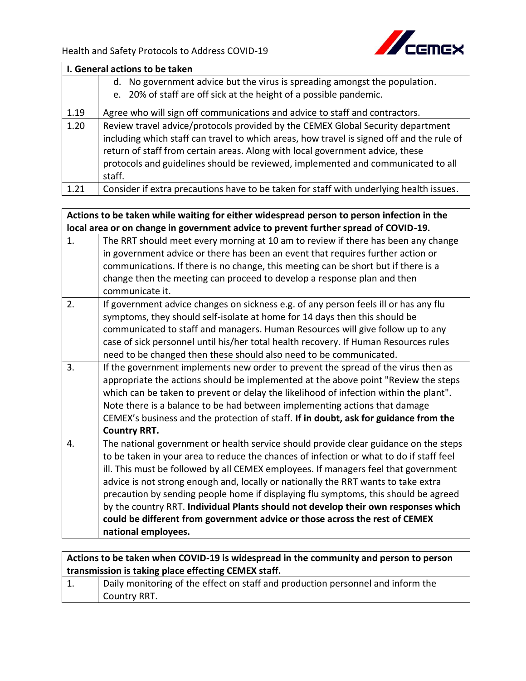**national employees.**



| I. General actions to be taken |                                                                                                                                                                                                                                                                          |  |
|--------------------------------|--------------------------------------------------------------------------------------------------------------------------------------------------------------------------------------------------------------------------------------------------------------------------|--|
|                                | No government advice but the virus is spreading amongst the population.<br>d.                                                                                                                                                                                            |  |
|                                | e. 20% of staff are off sick at the height of a possible pandemic.                                                                                                                                                                                                       |  |
| 1.19                           | Agree who will sign off communications and advice to staff and contractors.                                                                                                                                                                                              |  |
| 1.20                           | Review travel advice/protocols provided by the CEMEX Global Security department                                                                                                                                                                                          |  |
|                                | including which staff can travel to which areas, how travel is signed off and the rule of<br>return of staff from certain areas. Along with local government advice, these<br>protocols and guidelines should be reviewed, implemented and communicated to all<br>staff. |  |
| 1.21                           | Consider if extra precautions have to be taken for staff with underlying health issues.                                                                                                                                                                                  |  |

| Actions to be taken while waiting for either widespread person to person infection in the |                                                                                         |
|-------------------------------------------------------------------------------------------|-----------------------------------------------------------------------------------------|
|                                                                                           | local area or on change in government advice to prevent further spread of COVID-19.     |
| 1.                                                                                        | The RRT should meet every morning at 10 am to review if there has been any change       |
|                                                                                           | in government advice or there has been an event that requires further action or         |
|                                                                                           | communications. If there is no change, this meeting can be short but if there is a      |
|                                                                                           | change then the meeting can proceed to develop a response plan and then                 |
|                                                                                           | communicate it.                                                                         |
| 2.                                                                                        | If government advice changes on sickness e.g. of any person feels ill or has any flu    |
|                                                                                           | symptoms, they should self-isolate at home for 14 days then this should be              |
|                                                                                           | communicated to staff and managers. Human Resources will give follow up to any          |
|                                                                                           | case of sick personnel until his/her total health recovery. If Human Resources rules    |
|                                                                                           | need to be changed then these should also need to be communicated.                      |
| 3.                                                                                        | If the government implements new order to prevent the spread of the virus then as       |
|                                                                                           | appropriate the actions should be implemented at the above point "Review the steps      |
|                                                                                           | which can be taken to prevent or delay the likelihood of infection within the plant".   |
|                                                                                           | Note there is a balance to be had between implementing actions that damage              |
|                                                                                           | CEMEX's business and the protection of staff. If in doubt, ask for guidance from the    |
|                                                                                           | <b>Country RRT.</b>                                                                     |
| 4.                                                                                        | The national government or health service should provide clear guidance on the steps    |
|                                                                                           | to be taken in your area to reduce the chances of infection or what to do if staff feel |
|                                                                                           | ill. This must be followed by all CEMEX employees. If managers feel that government     |
|                                                                                           | advice is not strong enough and, locally or nationally the RRT wants to take extra      |
|                                                                                           | precaution by sending people home if displaying flu symptoms, this should be agreed     |
|                                                                                           | by the country RRT. Individual Plants should not develop their own responses which      |
|                                                                                           | could be different from government advice or those across the rest of CEMEX             |

**Actions to be taken when COVID-19 is widespread in the community and person to person transmission is taking place effecting CEMEX staff.** 

| ᅩ. | Daily monitoring of the effect on staff and production personnel and inform the |
|----|---------------------------------------------------------------------------------|
|    | Country RRT.                                                                    |